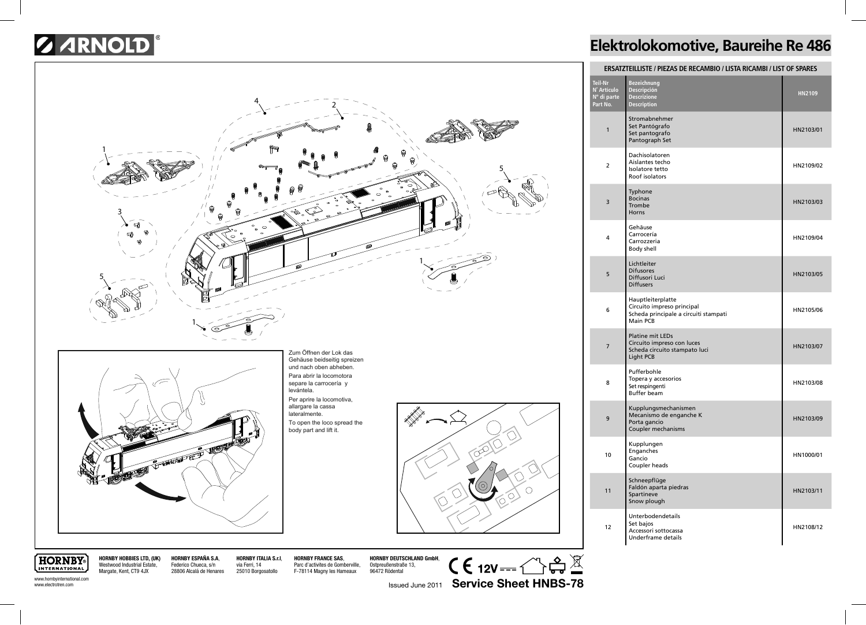## **SARNOLD**



## **Elektrolokomotive, Baureihe Re 486**

| ERSATZTEILLISTE / PIEZAS DE RECAMBIO / LISTA RICAMBI / LIST OF SPARES |                                                                                                             |           |  |
|-----------------------------------------------------------------------|-------------------------------------------------------------------------------------------------------------|-----------|--|
| Teil-Nr<br>N° Artículo<br>Nº di parte<br>Part No.                     | <b>Bezeichnung</b><br>Descripción<br><b>Descrizione</b><br><b>Description</b>                               | HN2109    |  |
| $\mathbf{1}$                                                          | Stromabnehmer<br>Set Pantógrafo<br>Set pantografo<br>Pantograph Set                                         | HN2103/01 |  |
| $\overline{2}$                                                        | Dachisolatoren<br>Aislantes techo<br>Isolatore tetto<br>Roof isolators                                      | HN2109/02 |  |
| 3                                                                     | Typhone<br><b>Bocinas</b><br>Trombe<br>Horns                                                                | HN2103/03 |  |
| 4                                                                     | Gehäuse<br>Carrocería<br>Carrozzeria<br><b>Body shell</b>                                                   | HN2109/04 |  |
| 5                                                                     | Lichtleiter<br><b>Difusores</b><br>Diffusori Luci<br><b>Diffusers</b>                                       | HN2103/05 |  |
| 6                                                                     | Hauptleiterplatte<br>Circuito impreso principal<br>Scheda principale a circuiti stampati<br><b>Main PCB</b> | HN2105/06 |  |
| 7                                                                     | <b>Platine mit LEDs</b><br>Circuito impreso con luces<br>Scheda circuito stampato luci<br>Light PCB         | HN2103/07 |  |
| 8                                                                     | Pufferbohle<br>Topera y accesorios<br>Set respingenti<br><b>Buffer beam</b>                                 | HN2103/08 |  |
| 9                                                                     | Kupplungsmechanismen<br>Mecanismo de enganche K<br>Porta gancio<br>Coupler mechanisms                       | HN2103/09 |  |
| 10                                                                    | Kupplungen<br>Enganches<br>Gancio<br>Coupler heads                                                          | HN1000/01 |  |
| 11                                                                    | Schneepflüge<br>Faldón aparta piedras<br>Spartineve<br>Snow plough                                          | HN2103/11 |  |
| 12                                                                    | Unterbodendetails<br>Set bajos<br>Accessori sottocassa<br>Underframe details                                | HN2108/12 |  |

**HORNBY** INTERNATIONAL www.hornbyinternational.com www.electrotren.com

Westwood Industrial Estate, Margate, Kent, CT9 4JX

**HORNBY HOBBIES LTD, (UK)**

**HORNBY ESPAÑA S.A**, Federico Chueca, s/n 28806 Alcalá de Henares **HORNBY ITALIA S.r.l**, via Ferri, 14 25010 Borgosatollo

**HORNBY FRANCE SAS**, Parc d'activites de Gomberville, F-78114 Magny les Hameaux

**HORNBY DEUTSCHLAND GmbH**, Ostpreußenstraße 13, 96472 Rödental

 $\mathsf{CE}$  12V ---  $\bigcirc$   $\mathbb{S}$   $\mathbb{Z}$ Issued June 2011 **Service Sheet HNBS-78**